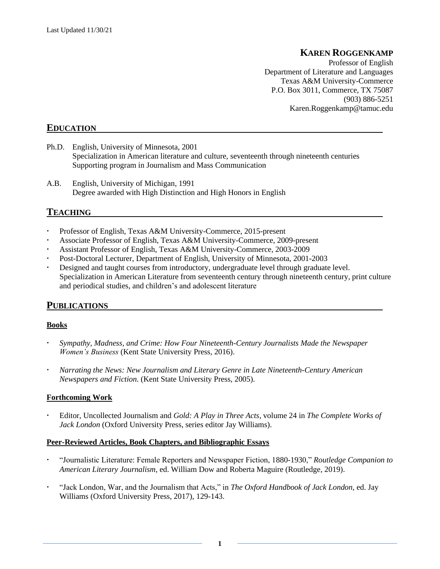# **KAREN ROGGENKAMP**

Professor of English Department of Literature and Languages Texas A&M University-Commerce P.O. Box 3011, Commerce, TX 75087 (903) 886-5251 Karen.Roggenkamp@tamuc.edu

# **EDUCATION**

- Ph.D. English, University of Minnesota, 2001 Specialization in American literature and culture, seventeenth through nineteenth centuries Supporting program in Journalism and Mass Communication
- A.B. English, University of Michigan, 1991 Degree awarded with High Distinction and High Honors in English

## **TEACHING**

- Professor of English, Texas A&M University-Commerce, 2015-present
- Associate Professor of English, Texas A&M University-Commerce, 2009-present
- Assistant Professor of English, Texas A&M University-Commerce, 2003-2009
- Post-Doctoral Lecturer, Department of English, University of Minnesota, 2001-2003
- Designed and taught courses from introductory, undergraduate level through graduate level. Specialization in American Literature from seventeenth century through nineteenth century, print culture and periodical studies, and children's and adolescent literature

# **PUBLICATIONS**

#### **Books**

- *Sympathy, Madness, and Crime: How Four Nineteenth-Century Journalists Made the Newspaper Women's Business* (Kent State University Press, 2016).
- *Narrating the News: New Journalism and Literary Genre in Late Nineteenth-Century American Newspapers and Fiction*. (Kent State University Press, 2005).

#### **Forthcoming Work**

 Editor, Uncollected Journalism and *Gold: A Play in Three Acts*, volume 24 in *The Complete Works of Jack London* (Oxford University Press, series editor Jay Williams).

#### **Peer-Reviewed Articles, Book Chapters, and Bibliographic Essays**

- "Journalistic Literature: Female Reporters and Newspaper Fiction, 1880-1930," *Routledge Companion to American Literary Journalism*, ed. William Dow and Roberta Maguire (Routledge, 2019).
- "Jack London, War, and the Journalism that Acts," in *The Oxford Handbook of Jack London*, ed. Jay Williams (Oxford University Press, 2017), 129-143.

**1**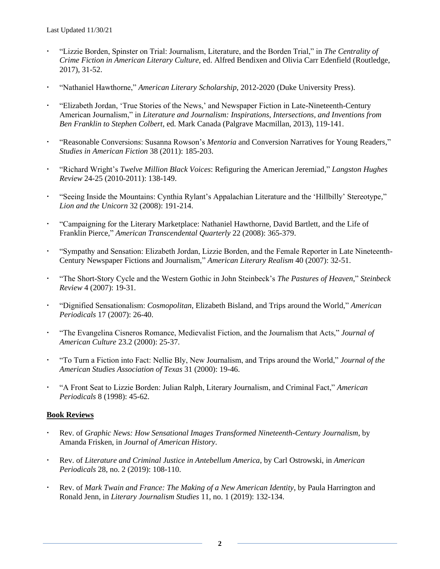- "Lizzie Borden, Spinster on Trial: Journalism, Literature, and the Borden Trial," in *The Centrality of Crime Fiction in American Literary Culture*, ed. Alfred Bendixen and Olivia Carr Edenfield (Routledge, 2017), 31-52.
- "Nathaniel Hawthorne," *American Literary Scholarship*, 2012-2020 (Duke University Press).
- "Elizabeth Jordan, 'True Stories of the News,' and Newspaper Fiction in Late-Nineteenth-Century American Journalism," in *Literature and Journalism: Inspirations, Intersections, and Inventions from Ben Franklin to Stephen Colbert*, ed. Mark Canada (Palgrave Macmillan, 2013), 119-141.
- "Reasonable Conversions: Susanna Rowson's *Mentoria* and Conversion Narratives for Young Readers," *Studies in American Fiction* 38 (2011): 185-203.
- "Richard Wright's *Twelve Million Black Voices*: Refiguring the American Jeremiad," *Langston Hughes Review* 24-25 (2010-2011): 138-149.
- "Seeing Inside the Mountains: Cynthia Rylant's Appalachian Literature and the 'Hillbilly' Stereotype," *Lion and the Unicorn* 32 (2008): 191-214.
- "Campaigning for the Literary Marketplace: Nathaniel Hawthorne, David Bartlett, and the Life of Franklin Pierce," *American Transcendental Quarterly* 22 (2008): 365-379.
- "Sympathy and Sensation: Elizabeth Jordan, Lizzie Borden, and the Female Reporter in Late Nineteenth-Century Newspaper Fictions and Journalism," *American Literary Realism* 40 (2007): 32-51.
- "The Short-Story Cycle and the Western Gothic in John Steinbeck's *The Pastures of Heaven*," *Steinbeck Review* 4 (2007): 19-31.
- "Dignified Sensationalism: *Cosmopolitan*, Elizabeth Bisland, and Trips around the World," *American Periodicals* 17 (2007): 26-40.
- "The Evangelina Cisneros Romance, Medievalist Fiction, and the Journalism that Acts," *Journal of American Culture* 23.2 (2000): 25-37.
- "To Turn a Fiction into Fact: Nellie Bly, New Journalism, and Trips around the World," *Journal of the American Studies Association of Texas* 31 (2000): 19-46.
- "A Front Seat to Lizzie Borden: Julian Ralph, Literary Journalism, and Criminal Fact," *American Periodicals* 8 (1998): 45-62.

#### **Book Reviews**

- Rev. of *Graphic News: How Sensational Images Transformed Nineteenth-Century Journalism*, by Amanda Frisken, in *Journal of American History*.
- Rev. of *Literature and Criminal Justice in Antebellum America*, by Carl Ostrowski, in *American Periodicals* 28, no. 2 (2019): 108-110.
- Rev. of *Mark Twain and France: The Making of a New American Identity*, by Paula Harrington and Ronald Jenn, in *Literary Journalism Studies* 11, no. 1 (2019): 132-134.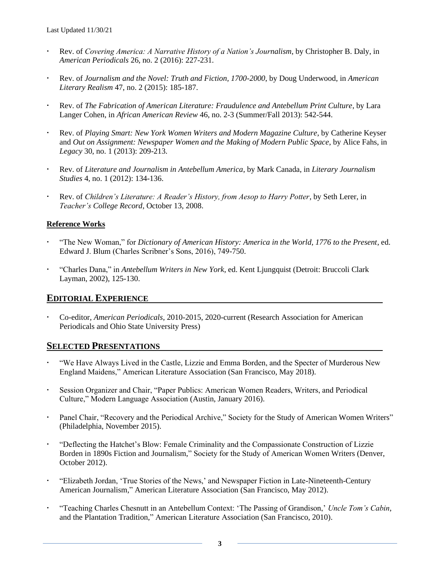- Rev. of *Covering America: A Narrative History of a Nation's Journalism*, by Christopher B. Daly, in *American Periodicals* 26, no. 2 (2016): 227-231.
- Rev. of *Journalism and the Novel: Truth and Fiction, 1700-2000*, by Doug Underwood, in *American Literary Realism* 47, no. 2 (2015): 185-187.
- Rev. of *The Fabrication of American Literature: Fraudulence and Antebellum Print Culture*, by Lara Langer Cohen, in *African American Review* 46, no. 2-3 (Summer/Fall 2013): 542-544.
- Rev. of *Playing Smart: New York Women Writers and Modern Magazine Culture*, by Catherine Keyser and *Out on Assignment: Newspaper Women and the Making of Modern Public Space*, by Alice Fahs, in *Legacy* 30, no. 1 (2013): 209-213.
- Rev. of *Literature and Journalism in Antebellum America*, by Mark Canada, in *Literary Journalism Studies* 4, no. 1 (2012): 134-136.
- Rev. of *Children's Literature: A Reader's History, from Aesop to Harry Potter*, by Seth Lerer, in *Teacher's College Record*, October 13, 2008.

#### **Reference Works**

- "The New Woman," for *Dictionary of American History: America in the World, 1776 to the Present*, ed. Edward J. Blum (Charles Scribner's Sons, 2016), 749-750.
- "Charles Dana," in *Antebellum Writers in New York*, ed. Kent Ljungquist (Detroit: Bruccoli Clark Layman, 2002), 125-130.

## **EDITORIAL EXPERIENCE**

 Co-editor, *American Periodicals*, 2010-2015, 2020-current (Research Association for American Periodicals and Ohio State University Press)

## **SELECTED PRESENTATIONS**

- "We Have Always Lived in the Castle, Lizzie and Emma Borden, and the Specter of Murderous New England Maidens," American Literature Association (San Francisco, May 2018).
- Session Organizer and Chair, "Paper Publics: American Women Readers, Writers, and Periodical Culture," Modern Language Association (Austin, January 2016).
- Panel Chair, "Recovery and the Periodical Archive," Society for the Study of American Women Writers" (Philadelphia, November 2015).
- "Deflecting the Hatchet's Blow: Female Criminality and the Compassionate Construction of Lizzie Borden in 1890s Fiction and Journalism," Society for the Study of American Women Writers (Denver, October 2012).
- "Elizabeth Jordan, 'True Stories of the News,' and Newspaper Fiction in Late-Nineteenth-Century American Journalism," American Literature Association (San Francisco, May 2012).
- "Teaching Charles Chesnutt in an Antebellum Context: 'The Passing of Grandison,' *Uncle Tom's Cabin*, and the Plantation Tradition," American Literature Association (San Francisco, 2010).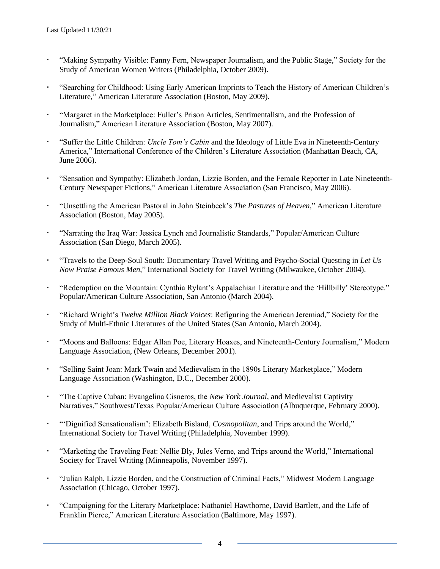- "Making Sympathy Visible: Fanny Fern, Newspaper Journalism, and the Public Stage," Society for the Study of American Women Writers (Philadelphia, October 2009).
- "Searching for Childhood: Using Early American Imprints to Teach the History of American Children's Literature," American Literature Association (Boston, May 2009).
- "Margaret in the Marketplace: Fuller's Prison Articles, Sentimentalism, and the Profession of Journalism," American Literature Association (Boston, May 2007).
- "Suffer the Little Children: *Uncle Tom's Cabin* and the Ideology of Little Eva in Nineteenth-Century America," International Conference of the Children's Literature Association (Manhattan Beach, CA, June 2006).
- "Sensation and Sympathy: Elizabeth Jordan, Lizzie Borden, and the Female Reporter in Late Nineteenth-Century Newspaper Fictions," American Literature Association (San Francisco, May 2006).
- "Unsettling the American Pastoral in John Steinbeck's *The Pastures of Heaven*," American Literature Association (Boston, May 2005).
- "Narrating the Iraq War: Jessica Lynch and Journalistic Standards," Popular/American Culture Association (San Diego, March 2005).
- "Travels to the Deep-Soul South: Documentary Travel Writing and Psycho-Social Questing in *Let Us Now Praise Famous Men*," International Society for Travel Writing (Milwaukee, October 2004).
- "Redemption on the Mountain: Cynthia Rylant's Appalachian Literature and the 'Hillbilly' Stereotype." Popular/American Culture Association, San Antonio (March 2004).
- "Richard Wright's *Twelve Million Black Voices*: Refiguring the American Jeremiad," Society for the Study of Multi-Ethnic Literatures of the United States (San Antonio, March 2004).
- "Moons and Balloons: Edgar Allan Poe, Literary Hoaxes, and Nineteenth-Century Journalism," Modern Language Association, (New Orleans, December 2001).
- "Selling Saint Joan: Mark Twain and Medievalism in the 1890s Literary Marketplace," Modern Language Association (Washington, D.C., December 2000).
- "The Captive Cuban: Evangelina Cisneros, the *New York Journal*, and Medievalist Captivity Narratives," Southwest/Texas Popular/American Culture Association (Albuquerque, February 2000).
- "'Dignified Sensationalism': Elizabeth Bisland, *Cosmopolitan*, and Trips around the World," International Society for Travel Writing (Philadelphia, November 1999).
- "Marketing the Traveling Feat: Nellie Bly, Jules Verne, and Trips around the World," International Society for Travel Writing (Minneapolis, November 1997).
- "Julian Ralph, Lizzie Borden, and the Construction of Criminal Facts," Midwest Modern Language Association (Chicago, October 1997).
- "Campaigning for the Literary Marketplace: Nathaniel Hawthorne, David Bartlett, and the Life of Franklin Pierce," American Literature Association (Baltimore, May 1997).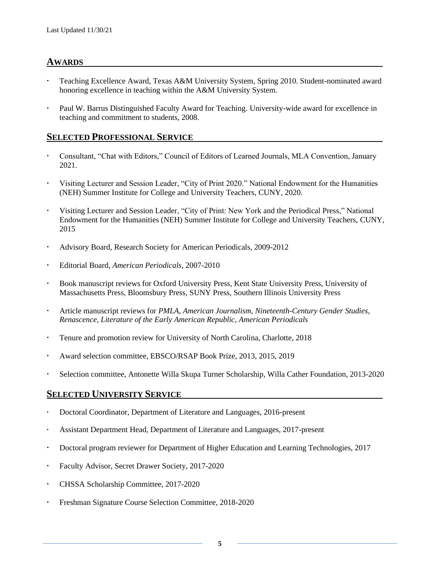## **AWARDS**

- Teaching Excellence Award, Texas A&M University System, Spring 2010. Student-nominated award honoring excellence in teaching within the A&M University System.
- Paul W. Barrus Distinguished Faculty Award for Teaching. University-wide award for excellence in teaching and commitment to students, 2008.

### **SELECTED PROFESSIONAL SERVICE**

- Consultant, "Chat with Editors," Council of Editors of Learned Journals, MLA Convention, January 2021.
- Visiting Lecturer and Session Leader, "City of Print 2020." National Endowment for the Humanities (NEH) Summer Institute for College and University Teachers, CUNY, 2020.
- Visiting Lecturer and Session Leader, "City of Print: New York and the Periodical Press," National Endowment for the Humanities (NEH) Summer Institute for College and University Teachers, CUNY, 2015
- Advisory Board, Research Society for American Periodicals, 2009-2012
- Editorial Board, *American Periodicals*, 2007-2010
- Book manuscript reviews for Oxford University Press, Kent State University Press, University of Massachusetts Press, Bloomsbury Press, SUNY Press, Southern Illinois University Press
- Article manuscript reviews for *PMLA*, *American Journalism*, *Nineteenth-Century Gender Studies*, *Renascence*, *Literature of the Early American Republic*, *American Periodicals*
- Tenure and promotion review for University of North Carolina, Charlotte, 2018
- Award selection committee, EBSCO/RSAP Book Prize, 2013, 2015, 2019
- Selection committee, Antonette Willa Skupa Turner Scholarship, Willa Cather Foundation, 2013-2020

## **SELECTED UNIVERSITY SERVICE**

- Doctoral Coordinator, Department of Literature and Languages, 2016-present
- Assistant Department Head, Department of Literature and Languages, 2017-present
- Doctoral program reviewer for Department of Higher Education and Learning Technologies, 2017
- Faculty Advisor, Secret Drawer Society, 2017-2020
- CHSSA Scholarship Committee, 2017-2020
- Freshman Signature Course Selection Committee, 2018-2020